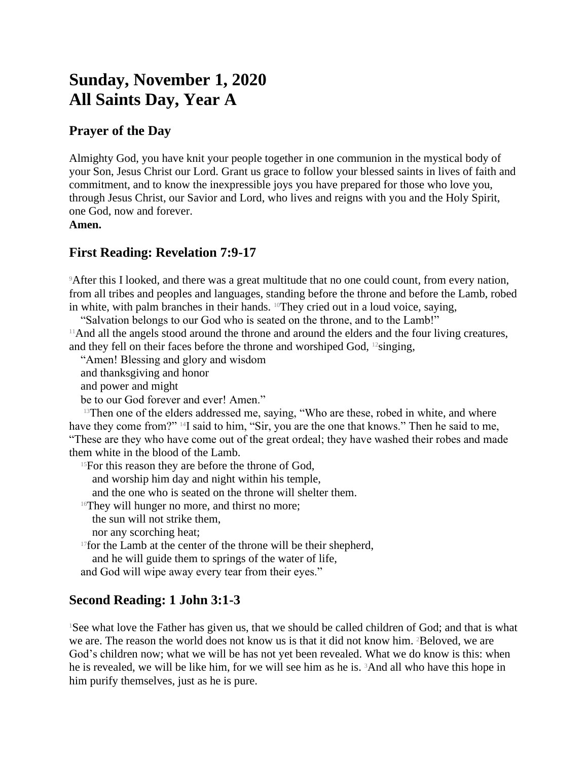# **Sunday, November 1, 2020 All Saints Day, Year A**

#### **Prayer of the Day**

Almighty God, you have knit your people together in one communion in the mystical body of your Son, Jesus Christ our Lord. Grant us grace to follow your blessed saints in lives of faith and commitment, and to know the inexpressible joys you have prepared for those who love you, through Jesus Christ, our Savior and Lord, who lives and reigns with you and the Holy Spirit, one God, now and forever.

**Amen.**

### **First Reading: Revelation 7:9-17**

<sup>9</sup>After this I looked, and there was a great multitude that no one could count, from every nation, from all tribes and peoples and languages, standing before the throne and before the Lamb, robed in white, with palm branches in their hands. 10They cried out in a loud voice, saying,

"Salvation belongs to our God who is seated on the throne, and to the Lamb!"

<sup>11</sup>And all the angels stood around the throne and around the elders and the four living creatures, and they fell on their faces before the throne and worshiped God,  $12$  singing,

"Amen! Blessing and glory and wisdom

and thanksgiving and honor

and power and might

be to our God forever and ever! Amen."

<sup>13</sup>Then one of the elders addressed me, saying, "Who are these, robed in white, and where have they come from?" <sup>14</sup>I said to him, "Sir, you are the one that knows." Then he said to me, "These are they who have come out of the great ordeal; they have washed their robes and made them white in the blood of the Lamb.

 $15$ For this reason they are before the throne of God,

and worship him day and night within his temple,

and the one who is seated on the throne will shelter them.

<sup>16</sup>They will hunger no more, and thirst no more;

the sun will not strike them,

nor any scorching heat;

<sup>17</sup>for the Lamb at the center of the throne will be their shepherd,

and he will guide them to springs of the water of life,

and God will wipe away every tear from their eyes."

## **Second Reading: 1 John 3:1-3**

<sup>1</sup>See what love the Father has given us, that we should be called children of God; and that is what we are. The reason the world does not know us is that it did not know him. 2Beloved, we are God's children now; what we will be has not yet been revealed. What we do know is this: when he is revealed, we will be like him, for we will see him as he is. 3And all who have this hope in him purify themselves, just as he is pure.